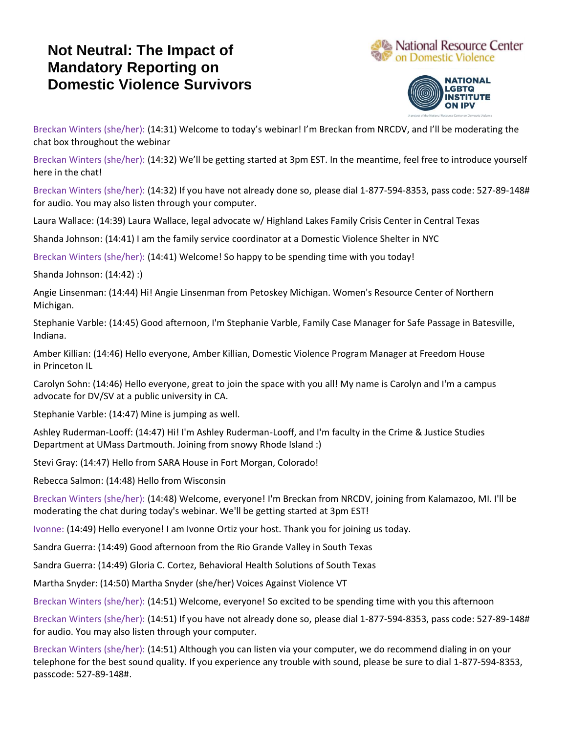## **Not Neutral: The Impact of Mandatory Reporting on Domestic Violence Survivors**





Breckan Winters (she/her): (14:31) Welcome to today's webinar! I'm Breckan from NRCDV, and I'll be moderating the chat box throughout the webinar

Breckan Winters (she/her): (14:32) We'll be getting started at 3pm EST. In the meantime, feel free to introduce yourself here in the chat!

Breckan Winters (she/her): (14:32) If you have not already done so, please dial 1-877-594-8353, pass code: 527-89-148# for audio. You may also listen through your computer.

Laura Wallace: (14:39) Laura Wallace, legal advocate w/ Highland Lakes Family Crisis Center in Central Texas

Shanda Johnson: (14:41) I am the family service coordinator at a Domestic Violence Shelter in NYC

Breckan Winters (she/her): (14:41) Welcome! So happy to be spending time with you today!

Shanda Johnson: (14:42) :)

Angie Linsenman: (14:44) Hi! Angie Linsenman from Petoskey Michigan. Women's Resource Center of Northern Michigan.

Stephanie Varble: (14:45) Good afternoon, I'm Stephanie Varble, Family Case Manager for Safe Passage in Batesville, Indiana.

Amber Killian: (14:46) Hello everyone, Amber Killian, Domestic Violence Program Manager at Freedom House in Princeton IL

Carolyn Sohn: (14:46) Hello everyone, great to join the space with you all! My name is Carolyn and I'm a campus advocate for DV/SV at a public university in CA.

Stephanie Varble: (14:47) Mine is jumping as well.

Ashley Ruderman-Looff: (14:47) Hi! I'm Ashley Ruderman-Looff, and I'm faculty in the Crime & Justice Studies Department at UMass Dartmouth. Joining from snowy Rhode Island :)

Stevi Gray: (14:47) Hello from SARA House in Fort Morgan, Colorado!

Rebecca Salmon: (14:48) Hello from Wisconsin

Breckan Winters (she/her): (14:48) Welcome, everyone! I'm Breckan from NRCDV, joining from Kalamazoo, MI. I'll be moderating the chat during today's webinar. We'll be getting started at 3pm EST!

Ivonne: (14:49) Hello everyone! I am Ivonne Ortiz your host. Thank you for joining us today.

Sandra Guerra: (14:49) Good afternoon from the Rio Grande Valley in South Texas

Sandra Guerra: (14:49) Gloria C. Cortez, Behavioral Health Solutions of South Texas

Martha Snyder: (14:50) Martha Snyder (she/her) Voices Against Violence VT

Breckan Winters (she/her): (14:51) Welcome, everyone! So excited to be spending time with you this afternoon

Breckan Winters (she/her): (14:51) If you have not already done so, please dial 1-877-594-8353, pass code: 527-89-148# for audio. You may also listen through your computer.

Breckan Winters (she/her): (14:51) Although you can listen via your computer, we do recommend dialing in on your telephone for the best sound quality. If you experience any trouble with sound, please be sure to dial 1-877-594-8353, passcode: 527-89-148#.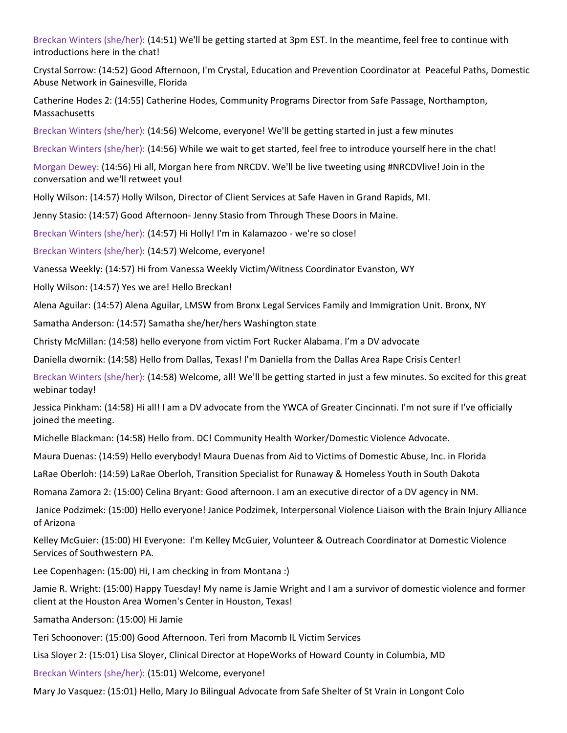Breckan Winters (she/her): (14:51) We'll be getting started at 3pm EST. In the meantime, feel free to continue with introductions here in the chat!

Crystal Sorrow: (14:52) Good Afternoon, I'm Crystal, Education and Prevention Coordinator at Peaceful Paths, Domestic Abuse Network in Gainesville, Florida

Catherine Hodes 2: (14:55) Catherine Hodes, Community Programs Director from Safe Passage, Northampton, Massachusetts

Breckan Winters (she/her): (14:56) Welcome, everyone! We'll be getting started in just a few minutes

Breckan Winters (she/her): (14:56) While we wait to get started, feel free to introduce yourself here in the chat!

Morgan Dewey: (14:56) Hi all, Morgan here from NRCDV. We'll be live tweeting using #NRCDVlive! Join in the conversation and we'll retweet you!

Holly Wilson: (14:57) Holly Wilson, Director of Client Services at Safe Haven in Grand Rapids, MI.

Jenny Stasio: (14:57) Good Afternoon- Jenny Stasio from Through These Doors in Maine.

Breckan Winters (she/her): (14:57) Hi Holly! I'm in Kalamazoo - we're so close!

Breckan Winters (she/her): (14:57) Welcome, everyone!

Vanessa Weekly: (14:57) Hi from Vanessa Weekly Victim/Witness Coordinator Evanston, WY

Holly Wilson: (14:57) Yes we are! Hello Breckan!

Alena Aguilar: (14:57) Alena Aguilar, LMSW from Bronx Legal Services Family and Immigration Unit. Bronx, NY

Samatha Anderson: (14:57) Samatha she/her/hers Washington state

Christy McMillan: (14:58) hello everyone from victim Fort Rucker Alabama. I'm a DV advocate

Daniella dwornik: (14:58) Hello from Dallas, Texas! I'm Daniella from the Dallas Area Rape Crisis Center!

Breckan Winters (she/her): (14:58) Welcome, all! We'll be getting started in just a few minutes. So excited for this great webinar today!

Jessica Pinkham: (14:58) Hi all! I am a DV advocate from the YWCA of Greater Cincinnati. I'm not sure if I've officially joined the meeting.

Michelle Blackman: (14:58) Hello from. DC! Community Health Worker/Domestic Violence Advocate.

Maura Duenas: (14:59) Hello everybody! Maura Duenas from Aid to Victims of Domestic Abuse, Inc. in Florida

LaRae Oberloh: (14:59) LaRae Oberloh, Transition Specialist for Runaway & Homeless Youth in South Dakota

Romana Zamora 2: (15:00) Celina Bryant: Good afternoon. I am an executive director of a DV agency in NM.

Janice Podzimek: (15:00) Hello everyone! Janice Podzimek, Interpersonal Violence Liaison with the Brain Injury Alliance of Arizona

Kelley McGuier: (15:00) HI Everyone: I'm Kelley McGuier, Volunteer & Outreach Coordinator at Domestic Violence Services of Southwestern PA.

Lee Copenhagen: (15:00) Hi, I am checking in from Montana :)

Jamie R. Wright: (15:00) Happy Tuesday! My name is Jamie Wright and I am a survivor of domestic violence and former client at the Houston Area Women's Center in Houston, Texas!

Samatha Anderson: (15:00) Hi Jamie

Teri Schoonover: (15:00) Good Afternoon. Teri from Macomb IL Victim Services

Lisa Sloyer 2: (15:01) Lisa Sloyer, Clinical Director at HopeWorks of Howard County in Columbia, MD

Breckan Winters (she/her): (15:01) Welcome, everyone!

Mary Jo Vasquez: (15:01) Hello, Mary Jo Bilingual Advocate from Safe Shelter of St Vrain in Longont Colo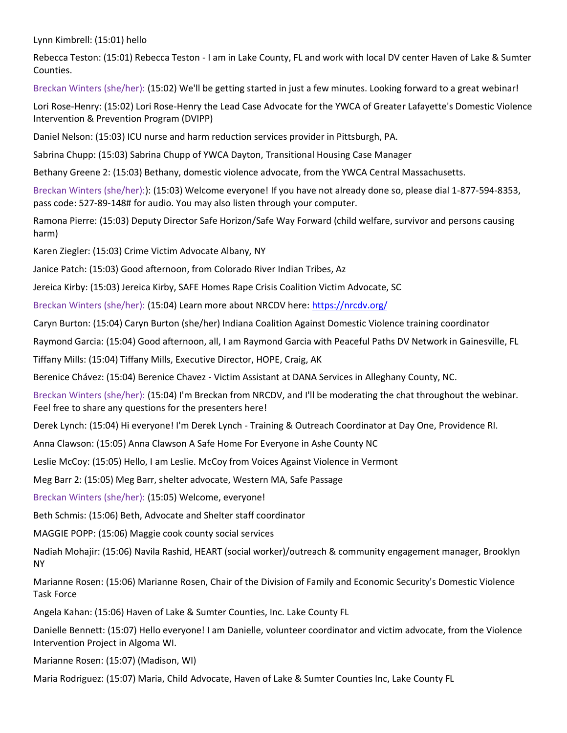Lynn Kimbrell: (15:01) hello

Rebecca Teston: (15:01) Rebecca Teston - I am in Lake County, FL and work with local DV center Haven of Lake & Sumter Counties.

Breckan Winters (she/her): (15:02) We'll be getting started in just a few minutes. Looking forward to a great webinar!

Lori Rose-Henry: (15:02) Lori Rose-Henry the Lead Case Advocate for the YWCA of Greater Lafayette's Domestic Violence Intervention & Prevention Program (DVIPP)

Daniel Nelson: (15:03) ICU nurse and harm reduction services provider in Pittsburgh, PA.

Sabrina Chupp: (15:03) Sabrina Chupp of YWCA Dayton, Transitional Housing Case Manager

Bethany Greene 2: (15:03) Bethany, domestic violence advocate, from the YWCA Central Massachusetts.

Breckan Winters (she/her):): (15:03) Welcome everyone! If you have not already done so, please dial 1-877-594-8353, pass code: 527-89-148# for audio. You may also listen through your computer.

Ramona Pierre: (15:03) Deputy Director Safe Horizon/Safe Way Forward (child welfare, survivor and persons causing harm)

Karen Ziegler: (15:03) Crime Victim Advocate Albany, NY

Janice Patch: (15:03) Good afternoon, from Colorado River Indian Tribes, Az

Jereica Kirby: (15:03) Jereica Kirby, SAFE Homes Rape Crisis Coalition Victim Advocate, SC

Breckan Winters (she/her): (15:04) Learn more about NRCDV here: <https://nrcdv.org/>

Caryn Burton: (15:04) Caryn Burton (she/her) Indiana Coalition Against Domestic Violence training coordinator

Raymond Garcia: (15:04) Good afternoon, all, I am Raymond Garcia with Peaceful Paths DV Network in Gainesville, FL

Tiffany Mills: (15:04) Tiffany Mills, Executive Director, HOPE, Craig, AK

Berenice Chávez: (15:04) Berenice Chavez - Victim Assistant at DANA Services in Alleghany County, NC.

Breckan Winters (she/her): (15:04) I'm Breckan from NRCDV, and I'll be moderating the chat throughout the webinar. Feel free to share any questions for the presenters here!

Derek Lynch: (15:04) Hi everyone! I'm Derek Lynch - Training & Outreach Coordinator at Day One, Providence RI.

Anna Clawson: (15:05) Anna Clawson A Safe Home For Everyone in Ashe County NC

Leslie McCoy: (15:05) Hello, I am Leslie. McCoy from Voices Against Violence in Vermont

Meg Barr 2: (15:05) Meg Barr, shelter advocate, Western MA, Safe Passage

Breckan Winters (she/her): (15:05) Welcome, everyone!

Beth Schmis: (15:06) Beth, Advocate and Shelter staff coordinator

MAGGIE POPP: (15:06) Maggie cook county social services

Nadiah Mohajir: (15:06) Navila Rashid, HEART (social worker)/outreach & community engagement manager, Brooklyn NY

Marianne Rosen: (15:06) Marianne Rosen, Chair of the Division of Family and Economic Security's Domestic Violence Task Force

Angela Kahan: (15:06) Haven of Lake & Sumter Counties, Inc. Lake County FL

Danielle Bennett: (15:07) Hello everyone! I am Danielle, volunteer coordinator and victim advocate, from the Violence Intervention Project in Algoma WI.

Marianne Rosen: (15:07) (Madison, WI)

Maria Rodriguez: (15:07) Maria, Child Advocate, Haven of Lake & Sumter Counties Inc, Lake County FL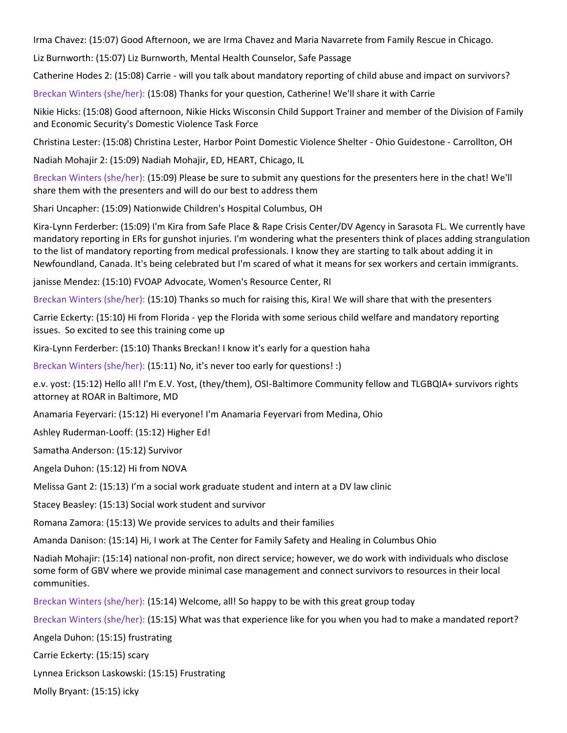Irma Chavez: (15:07) Good Afternoon, we are Irma Chavez and Maria Navarrete from Family Rescue in Chicago.

Liz Burnworth: (15:07) Liz Burnworth, Mental Health Counselor, Safe Passage

Catherine Hodes 2: (15:08) Carrie - will you talk about mandatory reporting of child abuse and impact on survivors?

Breckan Winters (she/her): (15:08) Thanks for your question, Catherine! We'll share it with Carrie

Nikie Hicks: (15:08) Good afternoon, Nikie Hicks Wisconsin Child Support Trainer and member of the Division of Family and Economic Security's Domestic Violence Task Force

Christina Lester: (15:08) Christina Lester, Harbor Point Domestic Violence Shelter - Ohio Guidestone - Carrollton, OH

Nadiah Mohajir 2: (15:09) Nadiah Mohajir, ED, HEART, Chicago, IL

Breckan Winters (she/her): (15:09) Please be sure to submit any questions for the presenters here in the chat! We'll share them with the presenters and will do our best to address them

Shari Uncapher: (15:09) Nationwide Children's Hospital Columbus, OH

Kira-Lynn Ferderber: (15:09) I'm Kira from Safe Place & Rape Crisis Center/DV Agency in Sarasota FL. We currently have mandatory reporting in ERs for gunshot injuries. I'm wondering what the presenters think of places adding strangulation to the list of mandatory reporting from medical professionals. I know they are starting to talk about adding it in Newfoundland, Canada. It's being celebrated but I'm scared of what it means for sex workers and certain immigrants.

janisse Mendez: (15:10) FVOAP Advocate, Women's Resource Center, RI

Breckan Winters (she/her): (15:10) Thanks so much for raising this, Kira! We will share that with the presenters

Carrie Eckerty: (15:10) Hi from Florida - yep the Florida with some serious child welfare and mandatory reporting issues. So excited to see this training come up

Kira-Lynn Ferderber: (15:10) Thanks Breckan! I know it's early for a question haha

Breckan Winters (she/her): (15:11) No, it's never too early for questions! :)

e.v. yost: (15:12) Hello all! I'm E.V. Yost, (they/them), OSI-Baltimore Community fellow and TLGBQIA+ survivors rights attorney at ROAR in Baltimore, MD

Anamaria Feyervari: (15:12) Hi everyone! I'm Anamaria Feyervari from Medina, Ohio

Ashley Ruderman-Looff: (15:12) Higher Ed!

Samatha Anderson: (15:12) Survivor

Angela Duhon: (15:12) Hi from NOVA

Melissa Gant 2: (15:13) I'm a social work graduate student and intern at a DV law clinic

Stacey Beasley: (15:13) Social work student and survivor

Romana Zamora: (15:13) We provide services to adults and their families

Amanda Danison: (15:14) Hi, I work at The Center for Family Safety and Healing in Columbus Ohio

Nadiah Mohajir: (15:14) national non-profit, non direct service; however, we do work with individuals who disclose some form of GBV where we provide minimal case management and connect survivors to resources in their local communities.

Breckan Winters (she/her): (15:14) Welcome, all! So happy to be with this great group today

Breckan Winters (she/her): (15:15) What was that experience like for you when you had to make a mandated report?

Angela Duhon: (15:15) frustrating

Carrie Eckerty: (15:15) scary

Lynnea Erickson Laskowski: (15:15) Frustrating

Molly Bryant: (15:15) icky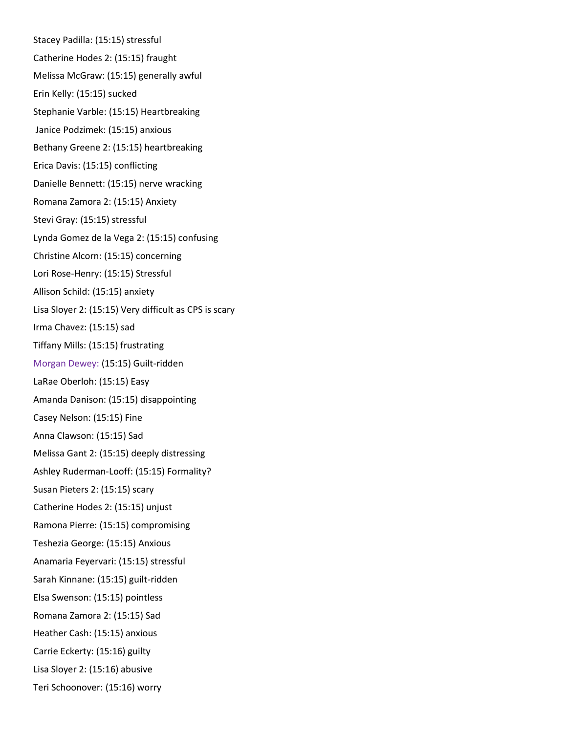Stacey Padilla: (15:15) stressful Catherine Hodes 2: (15:15) fraught Melissa McGraw: (15:15) generally awful Erin Kelly: (15:15) sucked Stephanie Varble: (15:15) Heartbreaking Janice Podzimek: (15:15) anxious Bethany Greene 2: (15:15) heartbreaking Erica Davis: (15:15) conflicting Danielle Bennett: (15:15) nerve wracking Romana Zamora 2: (15:15) Anxiety Stevi Gray: (15:15) stressful Lynda Gomez de la Vega 2: (15:15) confusing Christine Alcorn: (15:15) concerning Lori Rose-Henry: (15:15) Stressful Allison Schild: (15:15) anxiety Lisa Sloyer 2: (15:15) Very difficult as CPS is scary Irma Chavez: (15:15) sad Tiffany Mills: (15:15) frustrating Morgan Dewey: (15:15) Guilt-ridden LaRae Oberloh: (15:15) Easy Amanda Danison: (15:15) disappointing Casey Nelson: (15:15) Fine Anna Clawson: (15:15) Sad Melissa Gant 2: (15:15) deeply distressing Ashley Ruderman-Looff: (15:15) Formality? Susan Pieters 2: (15:15) scary Catherine Hodes 2: (15:15) unjust Ramona Pierre: (15:15) compromising Teshezia George: (15:15) Anxious Anamaria Feyervari: (15:15) stressful Sarah Kinnane: (15:15) guilt-ridden Elsa Swenson: (15:15) pointless Romana Zamora 2: (15:15) Sad Heather Cash: (15:15) anxious Carrie Eckerty: (15:16) guilty Lisa Sloyer 2: (15:16) abusive Teri Schoonover: (15:16) worry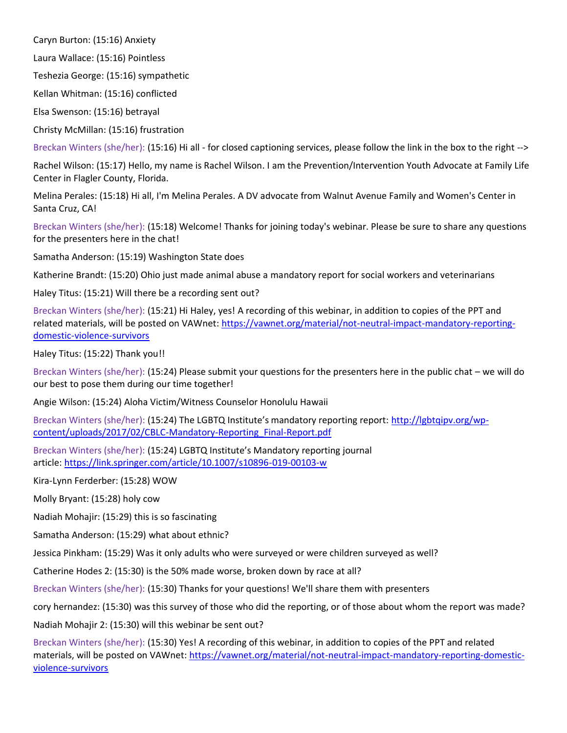Caryn Burton: (15:16) Anxiety

Laura Wallace: (15:16) Pointless

Teshezia George: (15:16) sympathetic

Kellan Whitman: (15:16) conflicted

Elsa Swenson: (15:16) betrayal

Christy McMillan: (15:16) frustration

Breckan Winters (she/her): (15:16) Hi all - for closed captioning services, please follow the link in the box to the right -->

Rachel Wilson: (15:17) Hello, my name is Rachel Wilson. I am the Prevention/Intervention Youth Advocate at Family Life Center in Flagler County, Florida.

Melina Perales: (15:18) Hi all, I'm Melina Perales. A DV advocate from Walnut Avenue Family and Women's Center in Santa Cruz, CA!

Breckan Winters (she/her): (15:18) Welcome! Thanks for joining today's webinar. Please be sure to share any questions for the presenters here in the chat!

Samatha Anderson: (15:19) Washington State does

Katherine Brandt: (15:20) Ohio just made animal abuse a mandatory report for social workers and veterinarians

Haley Titus: (15:21) Will there be a recording sent out?

Breckan Winters (she/her): (15:21) Hi Haley, yes! A recording of this webinar, in addition to copies of the PPT and related materials, will be posted on VAWnet: [https://vawnet.org/material/not-neutral-impact-mandatory-reporting](https://vawnet.org/material/not-neutral-impact-mandatory-reporting-domestic-violence-survivors)[domestic-violence-survivors](https://vawnet.org/material/not-neutral-impact-mandatory-reporting-domestic-violence-survivors)

Haley Titus: (15:22) Thank you!!

Breckan Winters (she/her): (15:24) Please submit your questions for the presenters here in the public chat – we will do our best to pose them during our time together!

Angie Wilson: (15:24) Aloha Victim/Witness Counselor Honolulu Hawaii

Breckan Winters (she/her): (15:24) The LGBTQ Institute's mandatory reporting report: [http://lgbtqipv.org/wp](http://lgbtqipv.org/wp-content/uploads/2017/02/CBLC-Mandatory-Reporting_Final-Report.pdf)[content/uploads/2017/02/CBLC-Mandatory-Reporting\\_Final-Report.pdf](http://lgbtqipv.org/wp-content/uploads/2017/02/CBLC-Mandatory-Reporting_Final-Report.pdf)

Breckan Winters (she/her): (15:24) LGBTQ Institute's Mandatory reporting journal article: <https://link.springer.com/article/10.1007/s10896-019-00103-w>

Kira-Lynn Ferderber: (15:28) WOW

Molly Bryant: (15:28) holy cow

Nadiah Mohajir: (15:29) this is so fascinating

Samatha Anderson: (15:29) what about ethnic?

Jessica Pinkham: (15:29) Was it only adults who were surveyed or were children surveyed as well?

Catherine Hodes 2: (15:30) is the 50% made worse, broken down by race at all?

Breckan Winters (she/her): (15:30) Thanks for your questions! We'll share them with presenters

cory hernandez: (15:30) was this survey of those who did the reporting, or of those about whom the report was made?

Nadiah Mohajir 2: (15:30) will this webinar be sent out?

Breckan Winters (she/her): (15:30) Yes! A recording of this webinar, in addition to copies of the PPT and related materials, will be posted on VAWnet: [https://vawnet.org/material/not-neutral-impact-mandatory-reporting-domestic](https://vawnet.org/material/not-neutral-impact-mandatory-reporting-domestic-violence-survivors)[violence-survivors](https://vawnet.org/material/not-neutral-impact-mandatory-reporting-domestic-violence-survivors)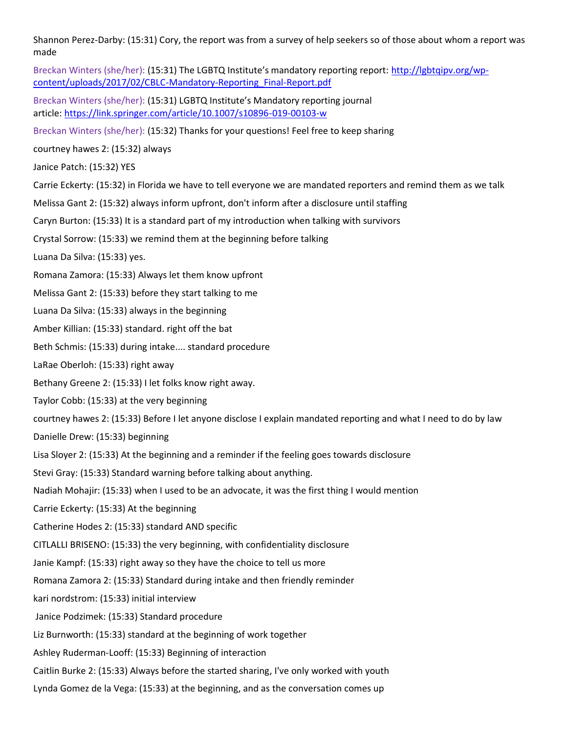Shannon Perez-Darby: (15:31) Cory, the report was from a survey of help seekers so of those about whom a report was made

Breckan Winters (she/her): (15:31) The LGBTQ Institute's mandatory reporting report: [http://lgbtqipv.org/wp](http://lgbtqipv.org/wp-content/uploads/2017/02/CBLC-Mandatory-Reporting_Final-Report.pdf)[content/uploads/2017/02/CBLC-Mandatory-Reporting\\_Final-Report.pdf](http://lgbtqipv.org/wp-content/uploads/2017/02/CBLC-Mandatory-Reporting_Final-Report.pdf)

Breckan Winters (she/her): (15:31) LGBTQ Institute's Mandatory reporting journal article: <https://link.springer.com/article/10.1007/s10896-019-00103-w>

Breckan Winters (she/her): (15:32) Thanks for your questions! Feel free to keep sharing

courtney hawes 2: (15:32) always

Janice Patch: (15:32) YES

Carrie Eckerty: (15:32) in Florida we have to tell everyone we are mandated reporters and remind them as we talk

Melissa Gant 2: (15:32) always inform upfront, don't inform after a disclosure until staffing

Caryn Burton: (15:33) It is a standard part of my introduction when talking with survivors

Crystal Sorrow: (15:33) we remind them at the beginning before talking

Luana Da Silva: (15:33) yes.

Romana Zamora: (15:33) Always let them know upfront

Melissa Gant 2: (15:33) before they start talking to me

Luana Da Silva: (15:33) always in the beginning

Amber Killian: (15:33) standard. right off the bat

Beth Schmis: (15:33) during intake.... standard procedure

LaRae Oberloh: (15:33) right away

Bethany Greene 2: (15:33) I let folks know right away.

Taylor Cobb: (15:33) at the very beginning

courtney hawes 2: (15:33) Before I let anyone disclose I explain mandated reporting and what I need to do by law

Danielle Drew: (15:33) beginning

Lisa Sloyer 2: (15:33) At the beginning and a reminder if the feeling goes towards disclosure

Stevi Gray: (15:33) Standard warning before talking about anything.

Nadiah Mohajir: (15:33) when I used to be an advocate, it was the first thing I would mention

Carrie Eckerty: (15:33) At the beginning

Catherine Hodes 2: (15:33) standard AND specific

CITLALLI BRISENO: (15:33) the very beginning, with confidentiality disclosure

Janie Kampf: (15:33) right away so they have the choice to tell us more

Romana Zamora 2: (15:33) Standard during intake and then friendly reminder

kari nordstrom: (15:33) initial interview

Janice Podzimek: (15:33) Standard procedure

Liz Burnworth: (15:33) standard at the beginning of work together

Ashley Ruderman-Looff: (15:33) Beginning of interaction

Caitlin Burke 2: (15:33) Always before the started sharing, I've only worked with youth

Lynda Gomez de la Vega: (15:33) at the beginning, and as the conversation comes up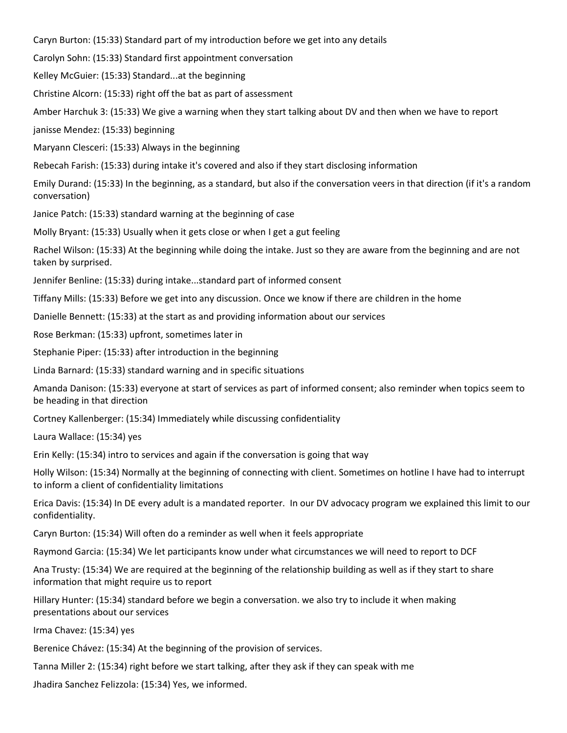Caryn Burton: (15:33) Standard part of my introduction before we get into any details

Carolyn Sohn: (15:33) Standard first appointment conversation

Kelley McGuier: (15:33) Standard...at the beginning

Christine Alcorn: (15:33) right off the bat as part of assessment

Amber Harchuk 3: (15:33) We give a warning when they start talking about DV and then when we have to report

janisse Mendez: (15:33) beginning

Maryann Clesceri: (15:33) Always in the beginning

Rebecah Farish: (15:33) during intake it's covered and also if they start disclosing information

Emily Durand: (15:33) In the beginning, as a standard, but also if the conversation veers in that direction (if it's a random conversation)

Janice Patch: (15:33) standard warning at the beginning of case

Molly Bryant: (15:33) Usually when it gets close or when I get a gut feeling

Rachel Wilson: (15:33) At the beginning while doing the intake. Just so they are aware from the beginning and are not taken by surprised.

Jennifer Benline: (15:33) during intake...standard part of informed consent

Tiffany Mills: (15:33) Before we get into any discussion. Once we know if there are children in the home

Danielle Bennett: (15:33) at the start as and providing information about our services

Rose Berkman: (15:33) upfront, sometimes later in

Stephanie Piper: (15:33) after introduction in the beginning

Linda Barnard: (15:33) standard warning and in specific situations

Amanda Danison: (15:33) everyone at start of services as part of informed consent; also reminder when topics seem to be heading in that direction

Cortney Kallenberger: (15:34) Immediately while discussing confidentiality

Laura Wallace: (15:34) yes

Erin Kelly: (15:34) intro to services and again if the conversation is going that way

Holly Wilson: (15:34) Normally at the beginning of connecting with client. Sometimes on hotline I have had to interrupt to inform a client of confidentiality limitations

Erica Davis: (15:34) In DE every adult is a mandated reporter. In our DV advocacy program we explained this limit to our confidentiality.

Caryn Burton: (15:34) Will often do a reminder as well when it feels appropriate

Raymond Garcia: (15:34) We let participants know under what circumstances we will need to report to DCF

Ana Trusty: (15:34) We are required at the beginning of the relationship building as well as if they start to share information that might require us to report

Hillary Hunter: (15:34) standard before we begin a conversation. we also try to include it when making presentations about our services

Irma Chavez: (15:34) yes

Berenice Chávez: (15:34) At the beginning of the provision of services.

Tanna Miller 2: (15:34) right before we start talking, after they ask if they can speak with me

Jhadira Sanchez Felizzola: (15:34) Yes, we informed.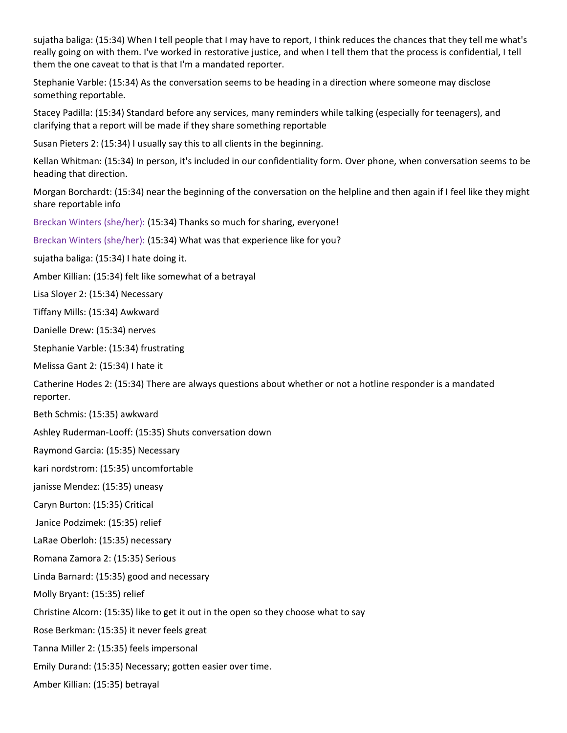sujatha baliga: (15:34) When I tell people that I may have to report, I think reduces the chances that they tell me what's really going on with them. I've worked in restorative justice, and when I tell them that the process is confidential, I tell them the one caveat to that is that I'm a mandated reporter.

Stephanie Varble: (15:34) As the conversation seems to be heading in a direction where someone may disclose something reportable.

Stacey Padilla: (15:34) Standard before any services, many reminders while talking (especially for teenagers), and clarifying that a report will be made if they share something reportable

Susan Pieters 2: (15:34) I usually say this to all clients in the beginning.

Kellan Whitman: (15:34) In person, it's included in our confidentiality form. Over phone, when conversation seems to be heading that direction.

Morgan Borchardt: (15:34) near the beginning of the conversation on the helpline and then again if I feel like they might share reportable info

Breckan Winters (she/her): (15:34) Thanks so much for sharing, everyone!

Breckan Winters (she/her): (15:34) What was that experience like for you?

sujatha baliga: (15:34) I hate doing it.

Amber Killian: (15:34) felt like somewhat of a betrayal

Lisa Sloyer 2: (15:34) Necessary

Tiffany Mills: (15:34) Awkward

Danielle Drew: (15:34) nerves

Stephanie Varble: (15:34) frustrating

Melissa Gant 2: (15:34) I hate it

Catherine Hodes 2: (15:34) There are always questions about whether or not a hotline responder is a mandated reporter.

Beth Schmis: (15:35) awkward

Ashley Ruderman-Looff: (15:35) Shuts conversation down

Raymond Garcia: (15:35) Necessary

kari nordstrom: (15:35) uncomfortable

janisse Mendez: (15:35) uneasy

Caryn Burton: (15:35) Critical

Janice Podzimek: (15:35) relief

LaRae Oberloh: (15:35) necessary

Romana Zamora 2: (15:35) Serious

Linda Barnard: (15:35) good and necessary

Molly Bryant: (15:35) relief

Christine Alcorn: (15:35) like to get it out in the open so they choose what to say

Rose Berkman: (15:35) it never feels great

Tanna Miller 2: (15:35) feels impersonal

Emily Durand: (15:35) Necessary; gotten easier over time.

Amber Killian: (15:35) betrayal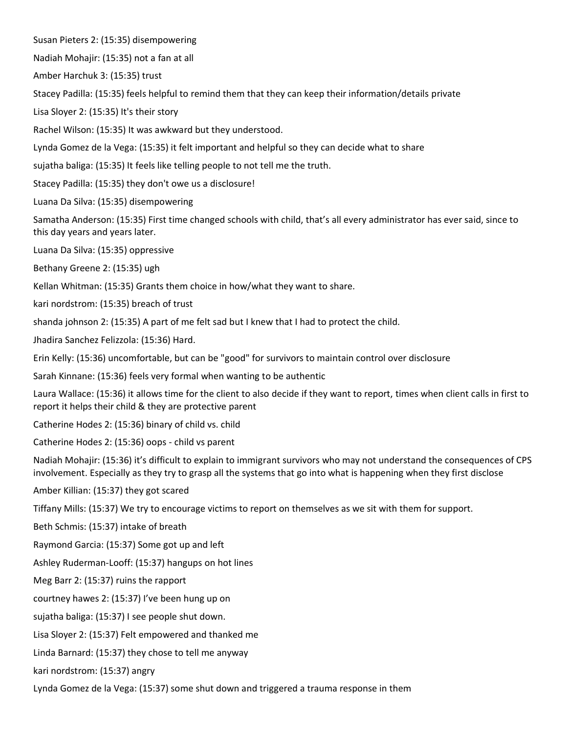Susan Pieters 2: (15:35) disempowering

Nadiah Mohajir: (15:35) not a fan at all

Amber Harchuk 3: (15:35) trust

Stacey Padilla: (15:35) feels helpful to remind them that they can keep their information/details private

Lisa Sloyer 2: (15:35) It's their story

Rachel Wilson: (15:35) It was awkward but they understood.

Lynda Gomez de la Vega: (15:35) it felt important and helpful so they can decide what to share

sujatha baliga: (15:35) It feels like telling people to not tell me the truth.

Stacey Padilla: (15:35) they don't owe us a disclosure!

Luana Da Silva: (15:35) disempowering

Samatha Anderson: (15:35) First time changed schools with child, that's all every administrator has ever said, since to this day years and years later.

Luana Da Silva: (15:35) oppressive

Bethany Greene 2: (15:35) ugh

Kellan Whitman: (15:35) Grants them choice in how/what they want to share.

kari nordstrom: (15:35) breach of trust

shanda johnson 2: (15:35) A part of me felt sad but I knew that I had to protect the child.

Jhadira Sanchez Felizzola: (15:36) Hard.

Erin Kelly: (15:36) uncomfortable, but can be "good" for survivors to maintain control over disclosure

Sarah Kinnane: (15:36) feels very formal when wanting to be authentic

Laura Wallace: (15:36) it allows time for the client to also decide if they want to report, times when client calls in first to report it helps their child & they are protective parent

Catherine Hodes 2: (15:36) binary of child vs. child

Catherine Hodes 2: (15:36) oops - child vs parent

Nadiah Mohajir: (15:36) it's difficult to explain to immigrant survivors who may not understand the consequences of CPS involvement. Especially as they try to grasp all the systems that go into what is happening when they first disclose

Amber Killian: (15:37) they got scared

Tiffany Mills: (15:37) We try to encourage victims to report on themselves as we sit with them for support.

Beth Schmis: (15:37) intake of breath

Raymond Garcia: (15:37) Some got up and left

Ashley Ruderman-Looff: (15:37) hangups on hot lines

Meg Barr 2: (15:37) ruins the rapport

courtney hawes 2: (15:37) I've been hung up on

sujatha baliga: (15:37) I see people shut down.

Lisa Sloyer 2: (15:37) Felt empowered and thanked me

Linda Barnard: (15:37) they chose to tell me anyway

kari nordstrom: (15:37) angry

Lynda Gomez de la Vega: (15:37) some shut down and triggered a trauma response in them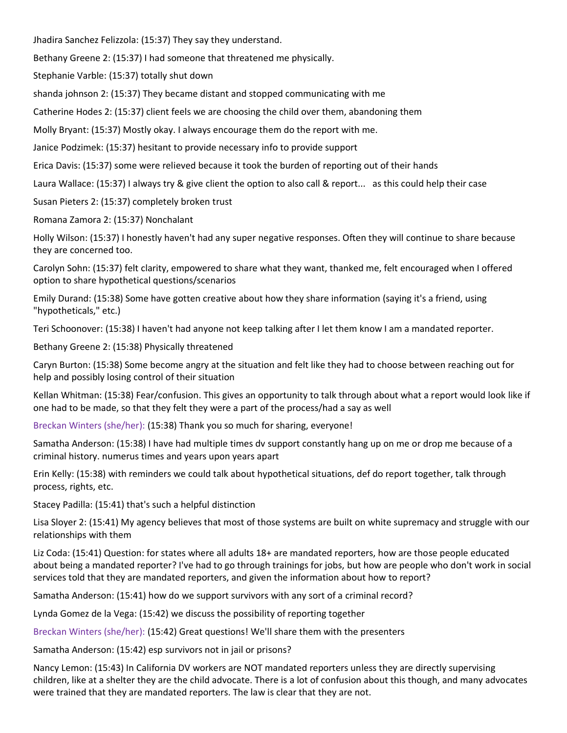Jhadira Sanchez Felizzola: (15:37) They say they understand.

Bethany Greene 2: (15:37) I had someone that threatened me physically.

Stephanie Varble: (15:37) totally shut down

shanda johnson 2: (15:37) They became distant and stopped communicating with me

Catherine Hodes 2: (15:37) client feels we are choosing the child over them, abandoning them

Molly Bryant: (15:37) Mostly okay. I always encourage them do the report with me.

Janice Podzimek: (15:37) hesitant to provide necessary info to provide support

Erica Davis: (15:37) some were relieved because it took the burden of reporting out of their hands

Laura Wallace: (15:37) I always try & give client the option to also call & report... as this could help their case

Susan Pieters 2: (15:37) completely broken trust

Romana Zamora 2: (15:37) Nonchalant

Holly Wilson: (15:37) I honestly haven't had any super negative responses. Often they will continue to share because they are concerned too.

Carolyn Sohn: (15:37) felt clarity, empowered to share what they want, thanked me, felt encouraged when I offered option to share hypothetical questions/scenarios

Emily Durand: (15:38) Some have gotten creative about how they share information (saying it's a friend, using "hypotheticals," etc.)

Teri Schoonover: (15:38) I haven't had anyone not keep talking after I let them know I am a mandated reporter.

Bethany Greene 2: (15:38) Physically threatened

Caryn Burton: (15:38) Some become angry at the situation and felt like they had to choose between reaching out for help and possibly losing control of their situation

Kellan Whitman: (15:38) Fear/confusion. This gives an opportunity to talk through about what a report would look like if one had to be made, so that they felt they were a part of the process/had a say as well

Breckan Winters (she/her): (15:38) Thank you so much for sharing, everyone!

Samatha Anderson: (15:38) I have had multiple times dv support constantly hang up on me or drop me because of a criminal history. numerus times and years upon years apart

Erin Kelly: (15:38) with reminders we could talk about hypothetical situations, def do report together, talk through process, rights, etc.

Stacey Padilla: (15:41) that's such a helpful distinction

Lisa Sloyer 2: (15:41) My agency believes that most of those systems are built on white supremacy and struggle with our relationships with them

Liz Coda: (15:41) Question: for states where all adults 18+ are mandated reporters, how are those people educated about being a mandated reporter? I've had to go through trainings for jobs, but how are people who don't work in social services told that they are mandated reporters, and given the information about how to report?

Samatha Anderson: (15:41) how do we support survivors with any sort of a criminal record?

Lynda Gomez de la Vega: (15:42) we discuss the possibility of reporting together

Breckan Winters (she/her): (15:42) Great questions! We'll share them with the presenters

Samatha Anderson: (15:42) esp survivors not in jail or prisons?

Nancy Lemon: (15:43) In California DV workers are NOT mandated reporters unless they are directly supervising children, like at a shelter they are the child advocate. There is a lot of confusion about this though, and many advocates were trained that they are mandated reporters. The law is clear that they are not.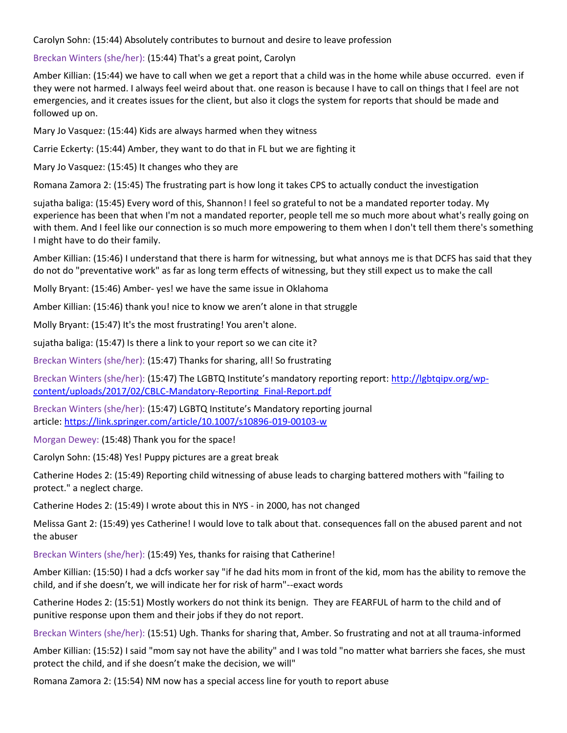Carolyn Sohn: (15:44) Absolutely contributes to burnout and desire to leave profession

Breckan Winters (she/her): (15:44) That's a great point, Carolyn

Amber Killian: (15:44) we have to call when we get a report that a child was in the home while abuse occurred. even if they were not harmed. I always feel weird about that. one reason is because I have to call on things that I feel are not emergencies, and it creates issues for the client, but also it clogs the system for reports that should be made and followed up on.

Mary Jo Vasquez: (15:44) Kids are always harmed when they witness

Carrie Eckerty: (15:44) Amber, they want to do that in FL but we are fighting it

Mary Jo Vasquez: (15:45) It changes who they are

Romana Zamora 2: (15:45) The frustrating part is how long it takes CPS to actually conduct the investigation

sujatha baliga: (15:45) Every word of this, Shannon! I feel so grateful to not be a mandated reporter today. My experience has been that when I'm not a mandated reporter, people tell me so much more about what's really going on with them. And I feel like our connection is so much more empowering to them when I don't tell them there's something I might have to do their family.

Amber Killian: (15:46) I understand that there is harm for witnessing, but what annoys me is that DCFS has said that they do not do "preventative work" as far as long term effects of witnessing, but they still expect us to make the call

Molly Bryant: (15:46) Amber- yes! we have the same issue in Oklahoma

Amber Killian: (15:46) thank you! nice to know we aren't alone in that struggle

Molly Bryant: (15:47) It's the most frustrating! You aren't alone.

sujatha baliga: (15:47) Is there a link to your report so we can cite it?

Breckan Winters (she/her): (15:47) Thanks for sharing, all! So frustrating

Breckan Winters (she/her): (15:47) The LGBTQ Institute's mandatory reporting report: [http://lgbtqipv.org/wp](http://lgbtqipv.org/wp-content/uploads/2017/02/CBLC-Mandatory-Reporting_Final-Report.pdf)[content/uploads/2017/02/CBLC-Mandatory-Reporting\\_Final-Report.pdf](http://lgbtqipv.org/wp-content/uploads/2017/02/CBLC-Mandatory-Reporting_Final-Report.pdf)

Breckan Winters (she/her): (15:47) LGBTQ Institute's Mandatory reporting journal article: <https://link.springer.com/article/10.1007/s10896-019-00103-w>

Morgan Dewey: (15:48) Thank you for the space!

Carolyn Sohn: (15:48) Yes! Puppy pictures are a great break

Catherine Hodes 2: (15:49) Reporting child witnessing of abuse leads to charging battered mothers with "failing to protect." a neglect charge.

Catherine Hodes 2: (15:49) I wrote about this in NYS - in 2000, has not changed

Melissa Gant 2: (15:49) yes Catherine! I would love to talk about that. consequences fall on the abused parent and not the abuser

Breckan Winters (she/her): (15:49) Yes, thanks for raising that Catherine!

Amber Killian: (15:50) I had a dcfs worker say "if he dad hits mom in front of the kid, mom has the ability to remove the child, and if she doesn't, we will indicate her for risk of harm"--exact words

Catherine Hodes 2: (15:51) Mostly workers do not think its benign. They are FEARFUL of harm to the child and of punitive response upon them and their jobs if they do not report.

Breckan Winters (she/her): (15:51) Ugh. Thanks for sharing that, Amber. So frustrating and not at all trauma-informed

Amber Killian: (15:52) I said "mom say not have the ability" and I was told "no matter what barriers she faces, she must protect the child, and if she doesn't make the decision, we will"

Romana Zamora 2: (15:54) NM now has a special access line for youth to report abuse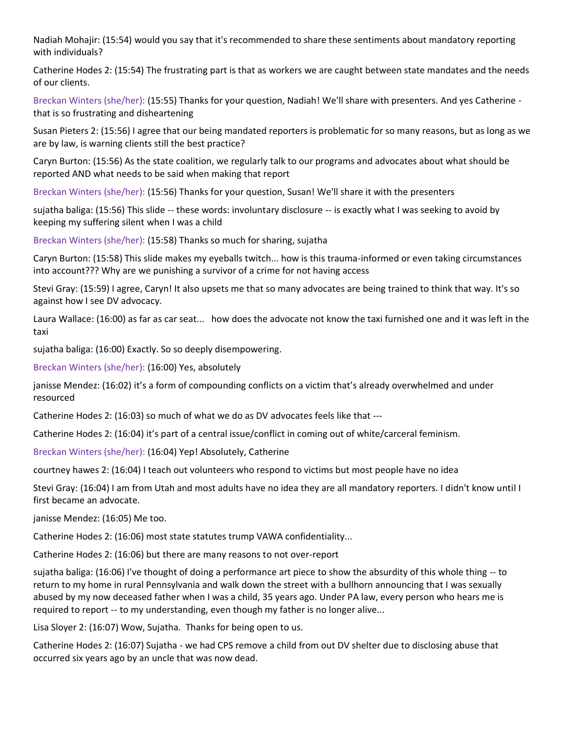Nadiah Mohajir: (15:54) would you say that it's recommended to share these sentiments about mandatory reporting with individuals?

Catherine Hodes 2: (15:54) The frustrating part is that as workers we are caught between state mandates and the needs of our clients.

Breckan Winters (she/her): (15:55) Thanks for your question, Nadiah! We'll share with presenters. And yes Catherine that is so frustrating and disheartening

Susan Pieters 2: (15:56) I agree that our being mandated reporters is problematic for so many reasons, but as long as we are by law, is warning clients still the best practice?

Caryn Burton: (15:56) As the state coalition, we regularly talk to our programs and advocates about what should be reported AND what needs to be said when making that report

Breckan Winters (she/her): (15:56) Thanks for your question, Susan! We'll share it with the presenters

sujatha baliga: (15:56) This slide -- these words: involuntary disclosure -- is exactly what I was seeking to avoid by keeping my suffering silent when I was a child

Breckan Winters (she/her): (15:58) Thanks so much for sharing, sujatha

Caryn Burton: (15:58) This slide makes my eyeballs twitch... how is this trauma-informed or even taking circumstances into account??? Why are we punishing a survivor of a crime for not having access

Stevi Gray: (15:59) I agree, Caryn! It also upsets me that so many advocates are being trained to think that way. It's so against how I see DV advocacy.

Laura Wallace: (16:00) as far as car seat... how does the advocate not know the taxi furnished one and it was left in the taxi

sujatha baliga: (16:00) Exactly. So so deeply disempowering.

Breckan Winters (she/her): (16:00) Yes, absolutely

janisse Mendez: (16:02) it's a form of compounding conflicts on a victim that's already overwhelmed and under resourced

Catherine Hodes 2: (16:03) so much of what we do as DV advocates feels like that ---

Catherine Hodes 2: (16:04) it's part of a central issue/conflict in coming out of white/carceral feminism.

Breckan Winters (she/her): (16:04) Yep! Absolutely, Catherine

courtney hawes 2: (16:04) I teach out volunteers who respond to victims but most people have no idea

Stevi Gray: (16:04) I am from Utah and most adults have no idea they are all mandatory reporters. I didn't know until I first became an advocate.

janisse Mendez: (16:05) Me too.

Catherine Hodes 2: (16:06) most state statutes trump VAWA confidentiality...

Catherine Hodes 2: (16:06) but there are many reasons to not over-report

sujatha baliga: (16:06) I've thought of doing a performance art piece to show the absurdity of this whole thing -- to return to my home in rural Pennsylvania and walk down the street with a bullhorn announcing that I was sexually abused by my now deceased father when I was a child, 35 years ago. Under PA law, every person who hears me is required to report -- to my understanding, even though my father is no longer alive...

Lisa Sloyer 2: (16:07) Wow, Sujatha. Thanks for being open to us.

Catherine Hodes 2: (16:07) Sujatha - we had CPS remove a child from out DV shelter due to disclosing abuse that occurred six years ago by an uncle that was now dead.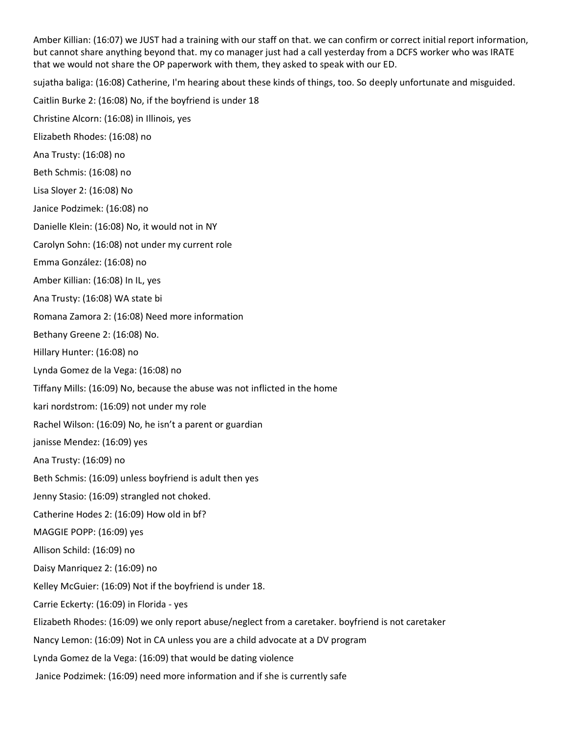Amber Killian: (16:07) we JUST had a training with our staff on that. we can confirm or correct initial report information, but cannot share anything beyond that. my co manager just had a call yesterday from a DCFS worker who was IRATE that we would not share the OP paperwork with them, they asked to speak with our ED. sujatha baliga: (16:08) Catherine, I'm hearing about these kinds of things, too. So deeply unfortunate and misguided. Caitlin Burke 2: (16:08) No, if the boyfriend is under 18 Christine Alcorn: (16:08) in Illinois, yes Elizabeth Rhodes: (16:08) no Ana Trusty: (16:08) no Beth Schmis: (16:08) no Lisa Sloyer 2: (16:08) No Janice Podzimek: (16:08) no Danielle Klein: (16:08) No, it would not in NY Carolyn Sohn: (16:08) not under my current role Emma González: (16:08) no Amber Killian: (16:08) In IL, yes Ana Trusty: (16:08) WA state bi Romana Zamora 2: (16:08) Need more information Bethany Greene 2: (16:08) No. Hillary Hunter: (16:08) no Lynda Gomez de la Vega: (16:08) no Tiffany Mills: (16:09) No, because the abuse was not inflicted in the home kari nordstrom: (16:09) not under my role Rachel Wilson: (16:09) No, he isn't a parent or guardian janisse Mendez: (16:09) yes Ana Trusty: (16:09) no Beth Schmis: (16:09) unless boyfriend is adult then yes Jenny Stasio: (16:09) strangled not choked. Catherine Hodes 2: (16:09) How old in bf? MAGGIE POPP: (16:09) yes Allison Schild: (16:09) no Daisy Manriquez 2: (16:09) no Kelley McGuier: (16:09) Not if the boyfriend is under 18. Carrie Eckerty: (16:09) in Florida - yes Elizabeth Rhodes: (16:09) we only report abuse/neglect from a caretaker. boyfriend is not caretaker Nancy Lemon: (16:09) Not in CA unless you are a child advocate at a DV program Lynda Gomez de la Vega: (16:09) that would be dating violence Janice Podzimek: (16:09) need more information and if she is currently safe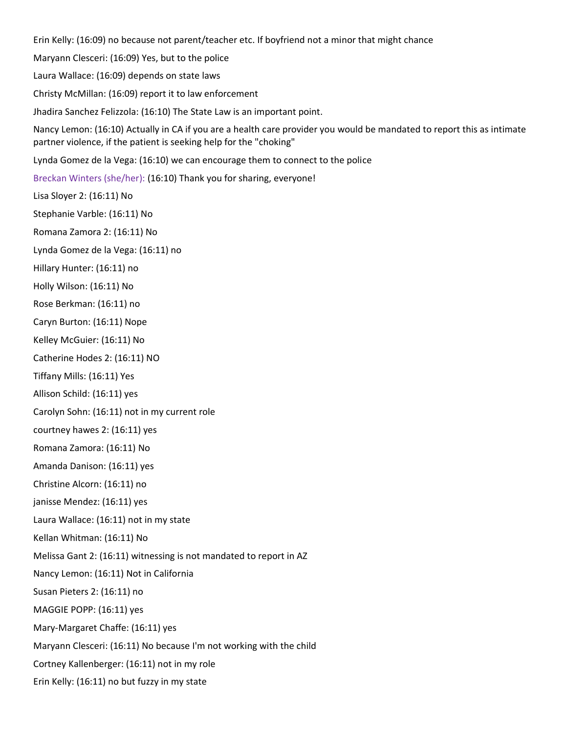Erin Kelly: (16:09) no because not parent/teacher etc. If boyfriend not a minor that might chance

Maryann Clesceri: (16:09) Yes, but to the police

Laura Wallace: (16:09) depends on state laws

Christy McMillan: (16:09) report it to law enforcement

Jhadira Sanchez Felizzola: (16:10) The State Law is an important point.

Nancy Lemon: (16:10) Actually in CA if you are a health care provider you would be mandated to report this as intimate partner violence, if the patient is seeking help for the "choking"

Lynda Gomez de la Vega: (16:10) we can encourage them to connect to the police

Breckan Winters (she/her): (16:10) Thank you for sharing, everyone!

Lisa Sloyer 2: (16:11) No

Stephanie Varble: (16:11) No

Romana Zamora 2: (16:11) No

Lynda Gomez de la Vega: (16:11) no

Hillary Hunter: (16:11) no

Holly Wilson: (16:11) No

Rose Berkman: (16:11) no

Caryn Burton: (16:11) Nope

Kelley McGuier: (16:11) No

Catherine Hodes 2: (16:11) NO

Tiffany Mills: (16:11) Yes

Allison Schild: (16:11) yes

Carolyn Sohn: (16:11) not in my current role

courtney hawes 2: (16:11) yes

Romana Zamora: (16:11) No

Amanda Danison: (16:11) yes

Christine Alcorn: (16:11) no

janisse Mendez: (16:11) yes

Laura Wallace: (16:11) not in my state

Kellan Whitman: (16:11) No

Melissa Gant 2: (16:11) witnessing is not mandated to report in AZ

Nancy Lemon: (16:11) Not in California

Susan Pieters 2: (16:11) no

MAGGIE POPP: (16:11) yes

Mary-Margaret Chaffe: (16:11) yes

Maryann Clesceri: (16:11) No because I'm not working with the child

Cortney Kallenberger: (16:11) not in my role

Erin Kelly: (16:11) no but fuzzy in my state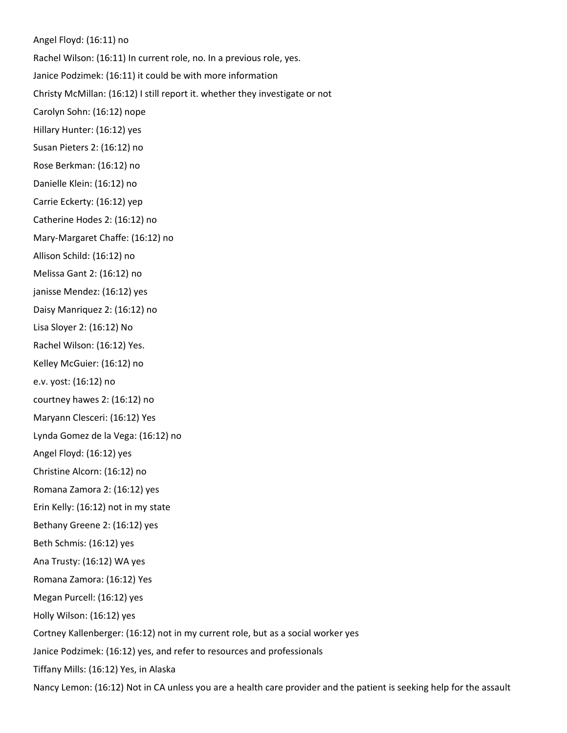Angel Floyd: (16:11) no Rachel Wilson: (16:11) In current role, no. In a previous role, yes. Janice Podzimek: (16:11) it could be with more information Christy McMillan: (16:12) I still report it. whether they investigate or not Carolyn Sohn: (16:12) nope Hillary Hunter: (16:12) yes Susan Pieters 2: (16:12) no Rose Berkman: (16:12) no Danielle Klein: (16:12) no Carrie Eckerty: (16:12) yep Catherine Hodes 2: (16:12) no Mary-Margaret Chaffe: (16:12) no Allison Schild: (16:12) no Melissa Gant 2: (16:12) no janisse Mendez: (16:12) yes Daisy Manriquez 2: (16:12) no Lisa Sloyer 2: (16:12) No Rachel Wilson: (16:12) Yes. Kelley McGuier: (16:12) no e.v. yost: (16:12) no courtney hawes 2: (16:12) no Maryann Clesceri: (16:12) Yes Lynda Gomez de la Vega: (16:12) no Angel Floyd: (16:12) yes Christine Alcorn: (16:12) no Romana Zamora 2: (16:12) yes Erin Kelly: (16:12) not in my state Bethany Greene 2: (16:12) yes Beth Schmis: (16:12) yes Ana Trusty: (16:12) WA yes Romana Zamora: (16:12) Yes Megan Purcell: (16:12) yes Holly Wilson: (16:12) yes Cortney Kallenberger: (16:12) not in my current role, but as a social worker yes Janice Podzimek: (16:12) yes, and refer to resources and professionals Tiffany Mills: (16:12) Yes, in Alaska

Nancy Lemon: (16:12) Not in CA unless you are a health care provider and the patient is seeking help for the assault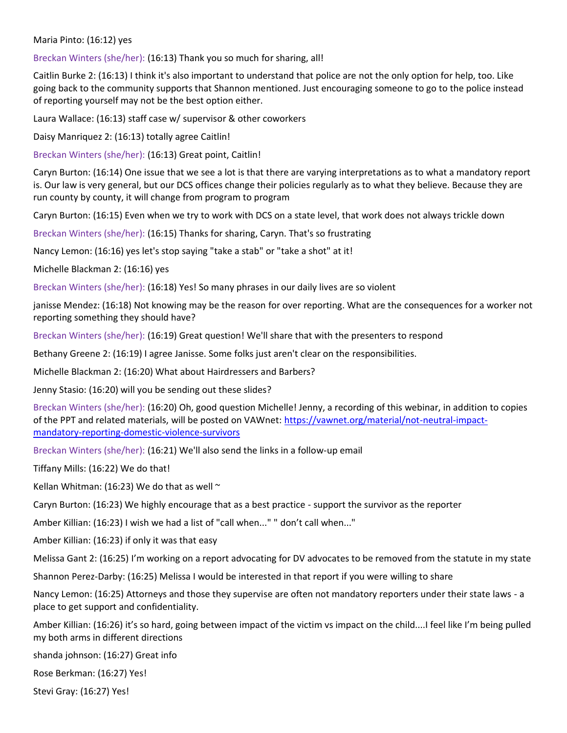## Maria Pinto: (16:12) yes

Breckan Winters (she/her): (16:13) Thank you so much for sharing, all!

Caitlin Burke 2: (16:13) I think it's also important to understand that police are not the only option for help, too. Like going back to the community supports that Shannon mentioned. Just encouraging someone to go to the police instead of reporting yourself may not be the best option either.

Laura Wallace: (16:13) staff case w/ supervisor & other coworkers

Daisy Manriquez 2: (16:13) totally agree Caitlin!

Breckan Winters (she/her): (16:13) Great point, Caitlin!

Caryn Burton: (16:14) One issue that we see a lot is that there are varying interpretations as to what a mandatory report is. Our law is very general, but our DCS offices change their policies regularly as to what they believe. Because they are run county by county, it will change from program to program

Caryn Burton: (16:15) Even when we try to work with DCS on a state level, that work does not always trickle down

Breckan Winters (she/her): (16:15) Thanks for sharing, Caryn. That's so frustrating

Nancy Lemon: (16:16) yes let's stop saying "take a stab" or "take a shot" at it!

Michelle Blackman 2: (16:16) yes

Breckan Winters (she/her): (16:18) Yes! So many phrases in our daily lives are so violent

janisse Mendez: (16:18) Not knowing may be the reason for over reporting. What are the consequences for a worker not reporting something they should have?

Breckan Winters (she/her): (16:19) Great question! We'll share that with the presenters to respond

Bethany Greene 2: (16:19) I agree Janisse. Some folks just aren't clear on the responsibilities.

Michelle Blackman 2: (16:20) What about Hairdressers and Barbers?

Jenny Stasio: (16:20) will you be sending out these slides?

Breckan Winters (she/her): (16:20) Oh, good question Michelle! Jenny, a recording of this webinar, in addition to copies of the PPT and related materials, will be posted on VAWnet: [https://vawnet.org/material/not-neutral-impact](https://vawnet.org/material/not-neutral-impact-mandatory-reporting-domestic-violence-survivors)[mandatory-reporting-domestic-violence-survivors](https://vawnet.org/material/not-neutral-impact-mandatory-reporting-domestic-violence-survivors)

Breckan Winters (she/her): (16:21) We'll also send the links in a follow-up email

Tiffany Mills: (16:22) We do that!

Kellan Whitman: (16:23) We do that as well  $\sim$ 

Caryn Burton: (16:23) We highly encourage that as a best practice - support the survivor as the reporter

Amber Killian: (16:23) I wish we had a list of "call when..." " don't call when..."

Amber Killian: (16:23) if only it was that easy

Melissa Gant 2: (16:25) I'm working on a report advocating for DV advocates to be removed from the statute in my state

Shannon Perez-Darby: (16:25) Melissa I would be interested in that report if you were willing to share

Nancy Lemon: (16:25) Attorneys and those they supervise are often not mandatory reporters under their state laws - a place to get support and confidentiality.

Amber Killian: (16:26) it's so hard, going between impact of the victim vs impact on the child....I feel like I'm being pulled my both arms in different directions

shanda johnson: (16:27) Great info

Rose Berkman: (16:27) Yes!

Stevi Gray: (16:27) Yes!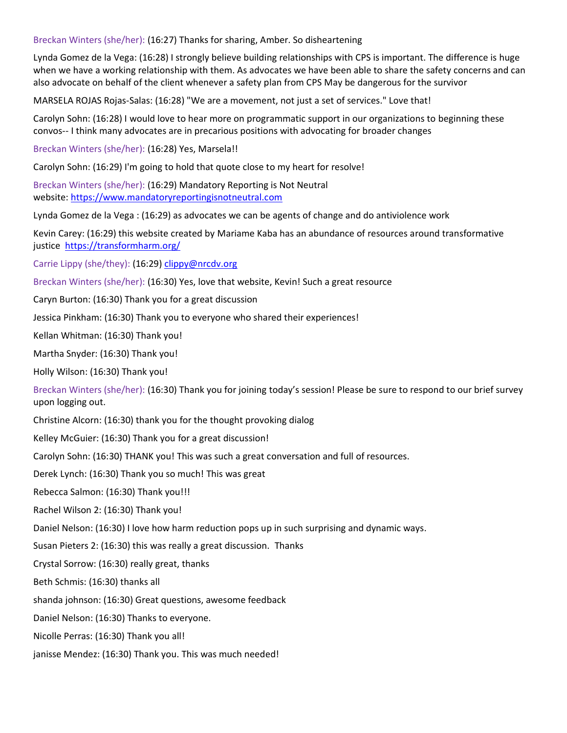Breckan Winters (she/her): (16:27) Thanks for sharing, Amber. So disheartening

Lynda Gomez de la Vega: (16:28) I strongly believe building relationships with CPS is important. The difference is huge when we have a working relationship with them. As advocates we have been able to share the safety concerns and can also advocate on behalf of the client whenever a safety plan from CPS May be dangerous for the survivor

MARSELA ROJAS Rojas-Salas: (16:28) "We are a movement, not just a set of services." Love that!

Carolyn Sohn: (16:28) I would love to hear more on programmatic support in our organizations to beginning these convos-- I think many advocates are in precarious positions with advocating for broader changes

Breckan Winters (she/her): (16:28) Yes, Marsela!!

Carolyn Sohn: (16:29) I'm going to hold that quote close to my heart for resolve!

Breckan Winters (she/her): (16:29) Mandatory Reporting is Not Neutral website: [https://www.mandatoryreportingisnotneutral.com](https://www.mandatoryreportingisnotneutral.com/)

Lynda Gomez de la Vega : (16:29) as advocates we can be agents of change and do antiviolence work

Kevin Carey: (16:29) this website created by Mariame Kaba has an abundance of resources around transformative justice <https://transformharm.org/>

Carrie Lippy (she/they): (16:29) [clippy@nrcdv.org](mailto:clippy@nrcdv.org)

Breckan Winters (she/her): (16:30) Yes, love that website, Kevin! Such a great resource

Caryn Burton: (16:30) Thank you for a great discussion

Jessica Pinkham: (16:30) Thank you to everyone who shared their experiences!

Kellan Whitman: (16:30) Thank you!

Martha Snyder: (16:30) Thank you!

Holly Wilson: (16:30) Thank you!

Breckan Winters (she/her): (16:30) Thank you for joining today's session! Please be sure to respond to our brief survey upon logging out.

Christine Alcorn: (16:30) thank you for the thought provoking dialog

Kelley McGuier: (16:30) Thank you for a great discussion!

Carolyn Sohn: (16:30) THANK you! This was such a great conversation and full of resources.

Derek Lynch: (16:30) Thank you so much! This was great

Rebecca Salmon: (16:30) Thank you!!!

Rachel Wilson 2: (16:30) Thank you!

Daniel Nelson: (16:30) I love how harm reduction pops up in such surprising and dynamic ways.

Susan Pieters 2: (16:30) this was really a great discussion. Thanks

Crystal Sorrow: (16:30) really great, thanks

Beth Schmis: (16:30) thanks all

shanda johnson: (16:30) Great questions, awesome feedback

Daniel Nelson: (16:30) Thanks to everyone.

Nicolle Perras: (16:30) Thank you all!

janisse Mendez: (16:30) Thank you. This was much needed!